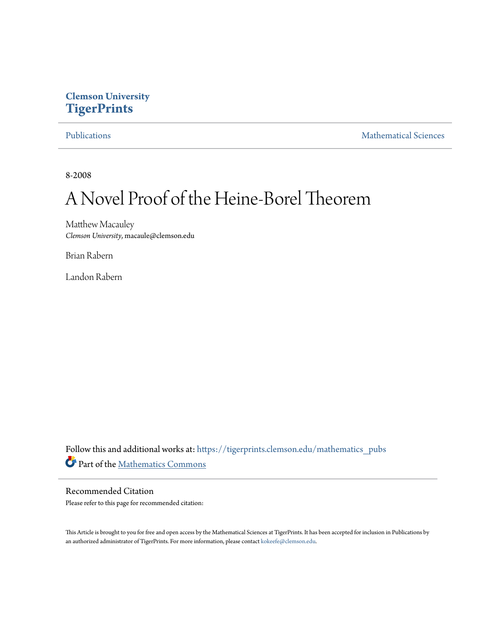## **Clemson University [TigerPrints](https://tigerprints.clemson.edu?utm_source=tigerprints.clemson.edu%2Fmathematics_pubs%2F6&utm_medium=PDF&utm_campaign=PDFCoverPages)**

[Publications](https://tigerprints.clemson.edu/mathematics_pubs?utm_source=tigerprints.clemson.edu%2Fmathematics_pubs%2F6&utm_medium=PDF&utm_campaign=PDFCoverPages) [Mathematical Sciences](https://tigerprints.clemson.edu/mathematics?utm_source=tigerprints.clemson.edu%2Fmathematics_pubs%2F6&utm_medium=PDF&utm_campaign=PDFCoverPages)

8-2008

# A Novel Proof of the Heine-Borel Theorem

Matthew Macauley *Clemson University*, macaule@clemson.edu

Brian Rabern

Landon Rabern

Follow this and additional works at: [https://tigerprints.clemson.edu/mathematics\\_pubs](https://tigerprints.clemson.edu/mathematics_pubs?utm_source=tigerprints.clemson.edu%2Fmathematics_pubs%2F6&utm_medium=PDF&utm_campaign=PDFCoverPages) Part of the [Mathematics Commons](http://network.bepress.com/hgg/discipline/174?utm_source=tigerprints.clemson.edu%2Fmathematics_pubs%2F6&utm_medium=PDF&utm_campaign=PDFCoverPages)

### Recommended Citation Please refer to this page for recommended citation:

This Article is brought to you for free and open access by the Mathematical Sciences at TigerPrints. It has been accepted for inclusion in Publications by an authorized administrator of TigerPrints. For more information, please contact [kokeefe@clemson.edu.](mailto:kokeefe@clemson.edu)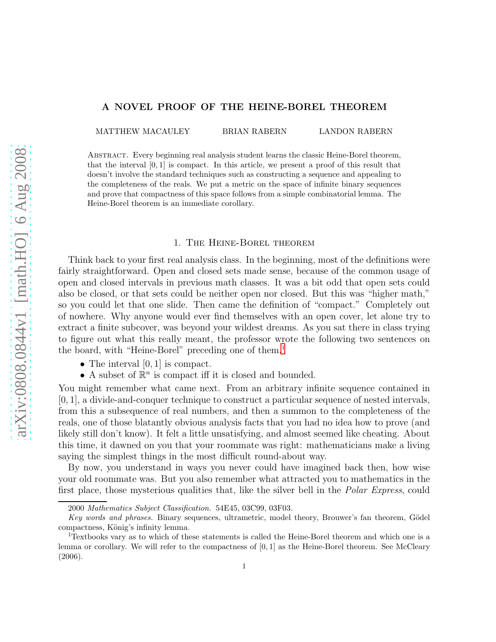### A NOVEL PROOF OF THE HEINE-BOREL THEOREM

MATTHEW MACAULEY BRIAN RABERN LANDON RABERN

Abstract. Every beginning real analysis student learns the classic Heine-Borel theorem, that the interval  $[0, 1]$  is compact. In this article, we present a proof of this result that doesn't involve the standard techniques such as constructing a sequence and appealing to the completeness of the reals. We put a metric on the space of infinite binary sequences and prove that compactness of this space follows from a simple combinatorial lemma. The Heine-Borel theorem is an immediate corollary.

#### 1. The Heine-Borel theorem

Think back to your first real analysis class. In the beginning, most of the definitions were fairly straightforward. Open and closed sets made sense, because of the common usage of open and closed intervals in previous math classes. It was a bit odd that open sets could also be closed, or that sets could be neither open nor closed. But this was "higher math," so you could let that one slide. Then came the definition of "compact." Completely out of nowhere. Why anyone would ever find themselves with an open cover, let alone try to extract a finite subcover, was beyond your wildest dreams. As you sat there in class trying to figure out what this really meant, the professor wrote the following two sentences on the board, with "Heine-Borel" preceding one of them.[1](#page-1-0)

- The interval  $[0, 1]$  is compact.
- A subset of  $\mathbb{R}^n$  is compact iff it is closed and bounded.

You might remember what came next. From an arbitrary infinite sequence contained in [0, 1], a divide-and-conquer technique to construct a particular sequence of nested intervals, from this a subsequence of real numbers, and then a summon to the completeness of the reals, one of those blatantly obvious analysis facts that you had no idea how to prove (and likely still don't know). It felt a little unsatisfying, and almost seemed like cheating. About this time, it dawned on you that your roommate was right: mathematicians make a living saying the simplest things in the most difficult round-about way.

By now, you understand in ways you never could have imagined back then, how wise your old roommate was. But you also remember what attracted you to mathematics in the first place, those mysterious qualities that, like the silver bell in the *Polar Express*, could

<sup>2000</sup> *Mathematics Subject Classification.* 54E45, 03C99, 03F03.

Key words and phrases. Binary sequences, ultrametric, model theory, Brouwer's fan theorem, Gödel compactness, König's infinity lemma.

<span id="page-1-0"></span><sup>1</sup>Textbooks vary as to which of these statements is called the Heine-Borel theorem and which one is a lemma or corollary. We will refer to the compactness of  $[0,1]$  as the Heine-Borel theorem. See McCleary (2006).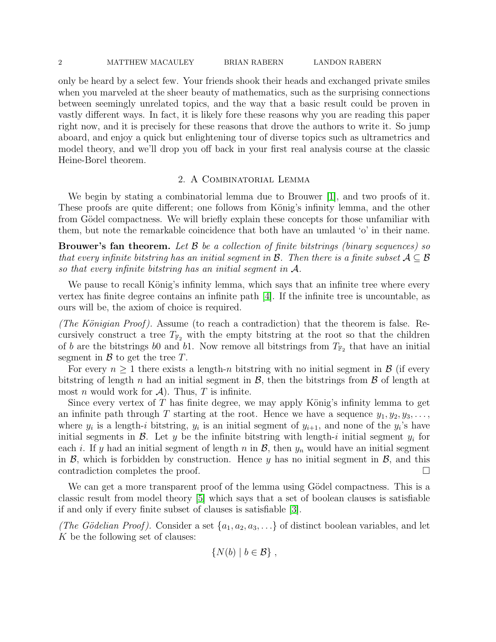#### 2 MATTHEW MACAULEY BRIAN RABERN LANDON RABERN

only be heard by a select few. Your friends shook their heads and exchanged private smiles when you marveled at the sheer beauty of mathematics, such as the surprising connections between seemingly unrelated topics, and the way that a basic result could be proven in vastly different ways. In fact, it is likely fore these reasons why you are reading this paper right now, and it is precisely for these reasons that drove the authors to write it. So jump aboard, and enjoy a quick but enlightening tour of diverse topics such as ultrametrics and model theory, and we'll drop you off back in your first real analysis course at the classic Heine-Borel theorem.

#### 2. A Combinatorial Lemma

We begin by stating a combinatorial lemma due to Brouwer [\[1\]](#page-4-0), and two proofs of it. These proofs are quite different; one follows from König's infinity lemma, and the other from Gödel compactness. We will briefly explain these concepts for those unfamiliar with them, but note the remarkable coincidence that both have an umlauted 'o' in their name.

**Brouwer's fan theorem.** Let  $\beta$  be a collection of finite bitstrings (binary sequences) so that every infinite bitstring has an initial segment in  $\mathcal{B}$ . Then there is a finite subset  $\mathcal{A} \subseteq \mathcal{B}$ so that every infinite bitstring has an initial segment in  $A$ .

We pause to recall König's infinity lemma, which says that an infinite tree where every vertex has finite degree contains an infinite path [\[4\]](#page-4-1). If the infinite tree is uncountable, as ours will be, the axiom of choice is required.

(The Königian Proof). Assume (to reach a contradiction) that the theorem is false. Recursively construct a tree  $T_{\mathbb{F}_2}$  with the empty bitstring at the root so that the children of b are the bitstrings b0 and b1. Now remove all bitstrings from  $T_{\mathbb{F}_2}$  that have an initial segment in  $\beta$  to get the tree T.

For every  $n \geq 1$  there exists a length-n bitstring with no initial segment in  $\beta$  (if every bitstring of length n had an initial segment in  $\mathcal{B}$ , then the bitstrings from  $\mathcal{B}$  of length at most *n* would work for  $\mathcal{A}$ ). Thus, *T* is infinite.

Since every vertex of  $T$  has finite degree, we may apply König's infinity lemma to get an infinite path through T starting at the root. Hence we have a sequence  $y_1, y_2, y_3, \ldots$ , where  $y_i$  is a length-i bitstring,  $y_i$  is an initial segment of  $y_{i+1}$ , and none of the  $y_i$ 's have initial segments in  $\mathcal{B}$ . Let y be the infinite bitstring with length-i initial segment  $y_i$  for each i. If y had an initial segment of length n in  $\mathcal{B}$ , then  $y_n$  would have an initial segment in  $\mathcal{B}$ , which is forbidden by construction. Hence y has no initial segment in  $\mathcal{B}$ , and this contradiction completes the proof.

We can get a more transparent proof of the lemma using Gödel compactness. This is a classic result from model theory [\[5\]](#page-4-2) which says that a set of boolean clauses is satisfiable if and only if every finite subset of clauses is satisfiable [\[3\]](#page-4-3).

(The Gödelian Proof). Consider a set  $\{a_1, a_2, a_3, \ldots\}$  of distinct boolean variables, and let K be the following set of clauses:

$$
\{N(b) \mid b \in \mathcal{B}\},\,
$$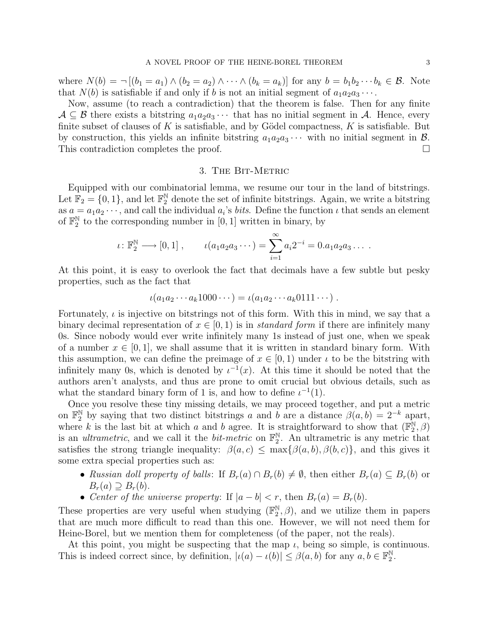where  $N(b) = \neg [(b_1 = a_1) \land (b_2 = a_2) \land \cdots \land (b_k = a_k)]$  for any  $b = b_1b_2\cdots b_k \in \mathcal{B}$ . Note that  $N(b)$  is satisfiable if and only if b is not an initial segment of  $a_1a_2a_3\cdots$ .

Now, assume (to reach a contradiction) that the theorem is false. Then for any finite  $A \subseteq \mathcal{B}$  there exists a bitstring  $a_1 a_2 a_3 \cdots$  that has no initial segment in A. Hence, every finite subset of clauses of K is satisfiable, and by Gödel compactness,  $K$  is satisfiable. But by construction, this yields an infinite bitstring  $a_1a_2a_3\cdots$  with no initial segment in  $\mathcal{B}$ . This contradiction completes the proof.

#### 3. The Bit-Metric

Equipped with our combinatorial lemma, we resume our tour in the land of bitstrings. Let  $\mathbb{F}_2 = \{0, 1\}$ , and let  $\mathbb{F}_2^{\mathbb{N}}$  denote the set of infinite bitstrings. Again, we write a bitstring as  $a = a_1 a_2 \cdots$ , and call the individual  $a_i$ 's *bits*. Define the function  $\iota$  that sends an element of  $\mathbb{F}_2^{\mathbb{N}}$  $_2^{\mathbb{N}}$  to the corresponding number in [0, 1] written in binary, by

$$
\iota \colon \mathbb{F}_2^{\mathbb{N}} \longrightarrow [0, 1], \qquad \iota(a_1 a_2 a_3 \cdots) = \sum_{i=1}^{\infty} a_i 2^{-i} = 0.a_1 a_2 a_3 \cdots
$$

At this point, it is easy to overlook the fact that decimals have a few subtle but pesky properties, such as the fact that

$$
\iota(a_1a_2\cdots a_k1000\cdots) = \iota(a_1a_2\cdots a_k0111\cdots).
$$

Fortunately,  $\iota$  is injective on bitstrings not of this form. With this in mind, we say that a binary decimal representation of  $x \in [0, 1)$  is in *standard form* if there are infinitely many 0s. Since nobody would ever write infinitely many 1s instead of just one, when we speak of a number  $x \in [0, 1]$ , we shall assume that it is written in standard binary form. With this assumption, we can define the preimage of  $x \in [0, 1)$  under  $\iota$  to be the bitstring with infinitely many 0s, which is denoted by  $\iota^{-1}(x)$ . At this time it should be noted that the authors aren't analysts, and thus are prone to omit crucial but obvious details, such as what the standard binary form of 1 is, and how to define  $\iota^{-1}(1)$ .

Once you resolve these tiny missing details, we may proceed together, and put a metric on  $\mathbb{F}_2^{\mathbb{N}}$  by saying that two distinct bitstrings a and b are a distance  $\beta(a, b) = 2^{-k}$  apart, where k is the last bit at which a and b agree. It is straightforward to show that  $(\mathbb{F}_2^N)$  $_{2}^{\mathbb{N}},\beta)$ is an *ultrametric*, and we call it the *bit-metric* on  $\mathbb{F}_2^{\mathbb{N}}$  $2^{\aleph}$ . An ultrametric is any metric that satisfies the strong triangle inequality:  $\beta(a, c) \leq \max{\beta(a, b), \beta(b, c)}$ , and this gives it some extra special properties such as:

- Russian doll property of balls: If  $B_r(a) \cap B_r(b) \neq \emptyset$ , then either  $B_r(a) \subseteq B_r(b)$  or  $B_r(a) \supseteq B_r(b).$
- Center of the universe property: If  $|a b| < r$ , then  $B_r(a) = B_r(b)$ .

These properties are very useful when studying  $(\mathbb{F}_2^{\mathbb{N}})$  $\mathbb{R}^{\mathbb{N}}_2$ ,  $\beta$ ), and we utilize them in papers that are much more difficult to read than this one. However, we will not need them for Heine-Borel, but we mention them for completeness (of the paper, not the reals).

<span id="page-3-0"></span>At this point, you might be suspecting that the map  $\iota$ , being so simple, is continuous. This is indeed correct since, by definition,  $|\iota(a) - \iota(b)| \leq \beta(a, b)$  for any  $a, b \in \mathbb{F}_2^{\mathbb{N}}$  $_{2}^{\mathbb{N}}.$